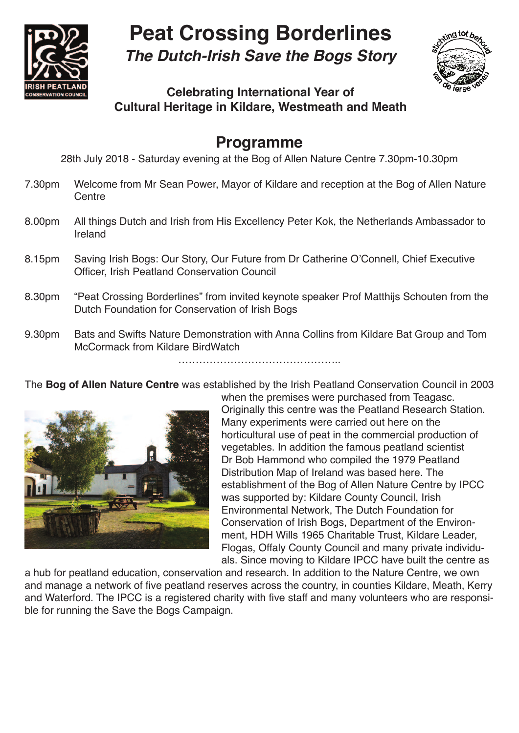

## **Peat Crossing Borderlines**

**The Dutch-Irish Save the Bogs Story**



## **Celebrating International Year of Cultural Heritage in Kildare, Westmeath and Meath**

## **Programme**

28th July 2018 - Saturday evening at the Bog of Allen Nature Centre 7.30pm-10.30pm

- 7.30pm Welcome from Mr Sean Power, Mayor of Kildare and reception at the Bog of Allen Nature **Centre**
- 8.00pm All things Dutch and Irish from His Excellency Peter Kok, the Netherlands Ambassador to Ireland
- 8.15pm Saving Irish Bogs: Our Story, Our Future from Dr Catherine O'Connell, Chief Executive Officer, Irish Peatland Conservation Council
- 8.30pm "Peat Crossing Borderlines" from invited keynote speaker Prof Matthijs Schouten from the Dutch Foundation for Conservation of Irish Bogs
- 9.30pm Bats and Swifts Nature Demonstration with Anna Collins from Kildare Bat Group and Tom McCormack from Kildare BirdWatch

The **Bog of Allen Nature Centre** was established by the Irish Peatland Conservation Council in 2003



when the premises were purchased from Teagasc. Originally this centre was the Peatland Research Station. Many experiments were carried out here on the horticultural use of peat in the commercial production of vegetables. In addition the famous peatland scientist Dr Bob Hammond who compiled the 1979 Peatland Distribution Map of Ireland was based here. The establishment of the Bog of Allen Nature Centre by IPCC was supported by: Kildare County Council, Irish Environmental Network, The Dutch Foundation for Conservation of Irish Bogs, Department of the Environment, HDH Wills 1965 Charitable Trust, Kildare Leader, Flogas, Offaly County Council and many private individuals. Since moving to Kildare IPCC have built the centre as

a hub for peatland education, conservation and research. In addition to the Nature Centre, we own and manage a network of five peatland reserves across the country, in counties Kildare, Meath, Kerry and Waterford. The IPCC is a registered charity with five staff and many volunteers who are responsible for running the Save the Bogs Campaign.